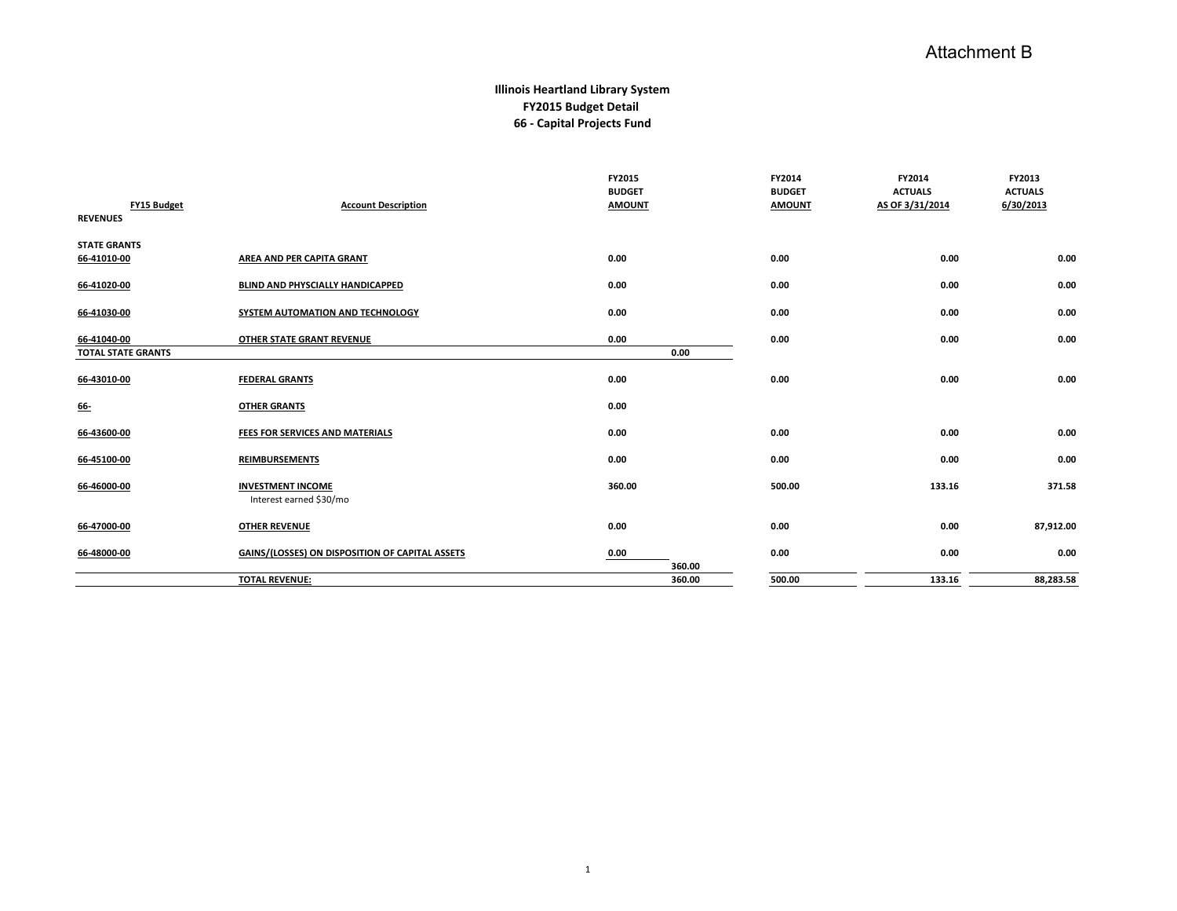## Attachment B

## **Illinois Heartland Library System FY2015 Budget Detail 66 - Capital Projects Fund**

| FY15 Budget<br><b>REVENUES</b> | <b>Account Description</b>                          | FY2015<br><b>BUDGET</b><br><b>AMOUNT</b> | FY2014<br><b>BUDGET</b><br><b>AMOUNT</b> | FY2014<br><b>ACTUALS</b><br>AS OF 3/31/2014 | FY2013<br><b>ACTUALS</b><br>6/30/2013 |
|--------------------------------|-----------------------------------------------------|------------------------------------------|------------------------------------------|---------------------------------------------|---------------------------------------|
| <b>STATE GRANTS</b>            |                                                     |                                          |                                          |                                             |                                       |
| 66-41010-00                    | AREA AND PER CAPITA GRANT                           | 0.00                                     | 0.00                                     | 0.00                                        | 0.00                                  |
| 66-41020-00                    | BLIND AND PHYSCIALLY HANDICAPPED                    | 0.00                                     | 0.00                                     | 0.00                                        | 0.00                                  |
| 66-41030-00                    | SYSTEM AUTOMATION AND TECHNOLOGY                    | 0.00                                     | 0.00                                     | 0.00                                        | 0.00                                  |
| 66-41040-00                    | OTHER STATE GRANT REVENUE                           | 0.00                                     | 0.00                                     | 0.00                                        | 0.00                                  |
| <b>TOTAL STATE GRANTS</b>      |                                                     | 0.00                                     |                                          |                                             |                                       |
| 66-43010-00                    | <b>FEDERAL GRANTS</b>                               | 0.00                                     | 0.00                                     | 0.00                                        | 0.00                                  |
| <u>66-</u>                     | <b>OTHER GRANTS</b>                                 | 0.00                                     |                                          |                                             |                                       |
| 66-43600-00                    | FEES FOR SERVICES AND MATERIALS                     | 0.00                                     | 0.00                                     | 0.00                                        | 0.00                                  |
| 66-45100-00                    | <b>REIMBURSEMENTS</b>                               | 0.00                                     | 0.00                                     | 0.00                                        | 0.00                                  |
| 66-46000-00                    | <b>INVESTMENT INCOME</b><br>Interest earned \$30/mo | 360.00                                   | 500.00                                   | 133.16                                      | 371.58                                |
| 66-47000-00                    | <b>OTHER REVENUE</b>                                | 0.00                                     | 0.00                                     | 0.00                                        | 87,912.00                             |
| 66-48000-00                    | GAINS/(LOSSES) ON DISPOSITION OF CAPITAL ASSETS     | 0.00                                     | 0.00                                     | 0.00                                        | 0.00                                  |
|                                |                                                     | 360.00                                   |                                          |                                             |                                       |
|                                | <b>TOTAL REVENUE:</b>                               | 360.00                                   | 500.00                                   | 133.16                                      | 88,283.58                             |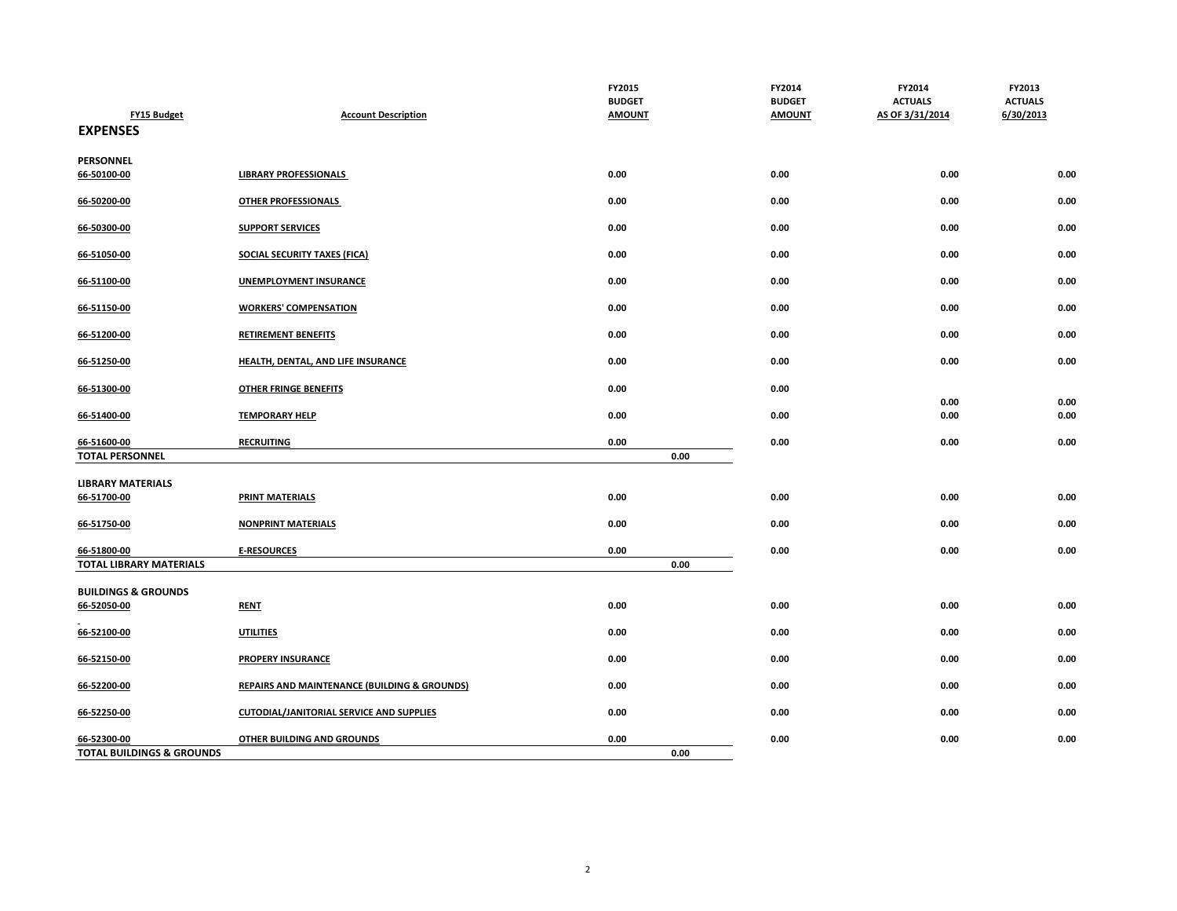| <b>FY15 Budget</b><br><b>EXPENSES</b>               | <b>Account Description</b>                              | FY2015<br><b>BUDGET</b><br><b>AMOUNT</b> | FY2014<br><b>BUDGET</b><br><b>AMOUNT</b> | FY2014<br><b>ACTUALS</b><br>AS OF 3/31/2014 | FY2013<br><b>ACTUALS</b><br>6/30/2013 |
|-----------------------------------------------------|---------------------------------------------------------|------------------------------------------|------------------------------------------|---------------------------------------------|---------------------------------------|
| PERSONNEL                                           |                                                         |                                          |                                          |                                             |                                       |
| 66-50100-00                                         | <b>LIBRARY PROFESSIONALS</b>                            | 0.00                                     | 0.00                                     | 0.00                                        | 0.00                                  |
| 66-50200-00                                         | <b>OTHER PROFESSIONALS</b>                              | 0.00                                     | 0.00                                     | 0.00                                        | 0.00                                  |
| 66-50300-00                                         | <b>SUPPORT SERVICES</b>                                 | 0.00                                     | 0.00                                     | 0.00                                        | 0.00                                  |
| 66-51050-00                                         | <b>SOCIAL SECURITY TAXES (FICA)</b>                     | 0.00                                     | 0.00                                     | 0.00                                        | 0.00                                  |
| 66-51100-00                                         | <b>UNEMPLOYMENT INSURANCE</b>                           | 0.00                                     | 0.00                                     | 0.00                                        | 0.00                                  |
| 66-51150-00                                         | <b>WORKERS' COMPENSATION</b>                            | 0.00                                     | 0.00                                     | 0.00                                        | 0.00                                  |
| 66-51200-00                                         | <b>RETIREMENT BENEFITS</b>                              | 0.00                                     | 0.00                                     | 0.00                                        | 0.00                                  |
| 66-51250-00                                         | <b>HEALTH, DENTAL, AND LIFE INSURANCE</b>               | 0.00                                     | 0.00                                     | 0.00                                        | 0.00                                  |
| 66-51300-00                                         | <b>OTHER FRINGE BENEFITS</b>                            | 0.00                                     | 0.00                                     |                                             |                                       |
| 66-51400-00                                         | <b>TEMPORARY HELP</b>                                   | 0.00                                     | 0.00                                     | 0.00<br>0.00                                | 0.00<br>0.00                          |
| 66-51600-00                                         | <b>RECRUITING</b>                                       | 0.00                                     | 0.00                                     | 0.00                                        | 0.00                                  |
| <b>TOTAL PERSONNEL</b>                              |                                                         | 0.00                                     |                                          |                                             |                                       |
| <b>LIBRARY MATERIALS</b><br>66-51700-00             | <b>PRINT MATERIALS</b>                                  | 0.00                                     | 0.00                                     | 0.00                                        | 0.00                                  |
| 66-51750-00                                         | <b>NONPRINT MATERIALS</b>                               | 0.00                                     | 0.00                                     | 0.00                                        | 0.00                                  |
| 66-51800-00                                         | <b>E-RESOURCES</b>                                      | 0.00                                     | 0.00                                     | 0.00                                        | 0.00                                  |
| <b>TOTAL LIBRARY MATERIALS</b>                      |                                                         | 0.00                                     |                                          |                                             |                                       |
| <b>BUILDINGS &amp; GROUNDS</b>                      |                                                         |                                          |                                          |                                             |                                       |
| 66-52050-00                                         | <b>RENT</b>                                             | 0.00                                     | 0.00                                     | 0.00                                        | 0.00                                  |
| 66-52100-00                                         | <b>UTILITIES</b>                                        | 0.00                                     | 0.00                                     | 0.00                                        | 0.00                                  |
| 66-52150-00                                         | <b>PROPERY INSURANCE</b>                                | 0.00                                     | 0.00                                     | 0.00                                        | 0.00                                  |
| 66-52200-00                                         | <b>REPAIRS AND MAINTENANCE (BUILDING &amp; GROUNDS)</b> | 0.00                                     | 0.00                                     | 0.00                                        | 0.00                                  |
| 66-52250-00                                         | <b>CUTODIAL/JANITORIAL SERVICE AND SUPPLIES</b>         | 0.00                                     | 0.00                                     | 0.00                                        | 0.00                                  |
| 66-52300-00<br><b>TOTAL BUILDINGS &amp; GROUNDS</b> | <b>OTHER BUILDING AND GROUNDS</b>                       | 0.00<br>0.00                             | 0.00                                     | 0.00                                        | 0.00                                  |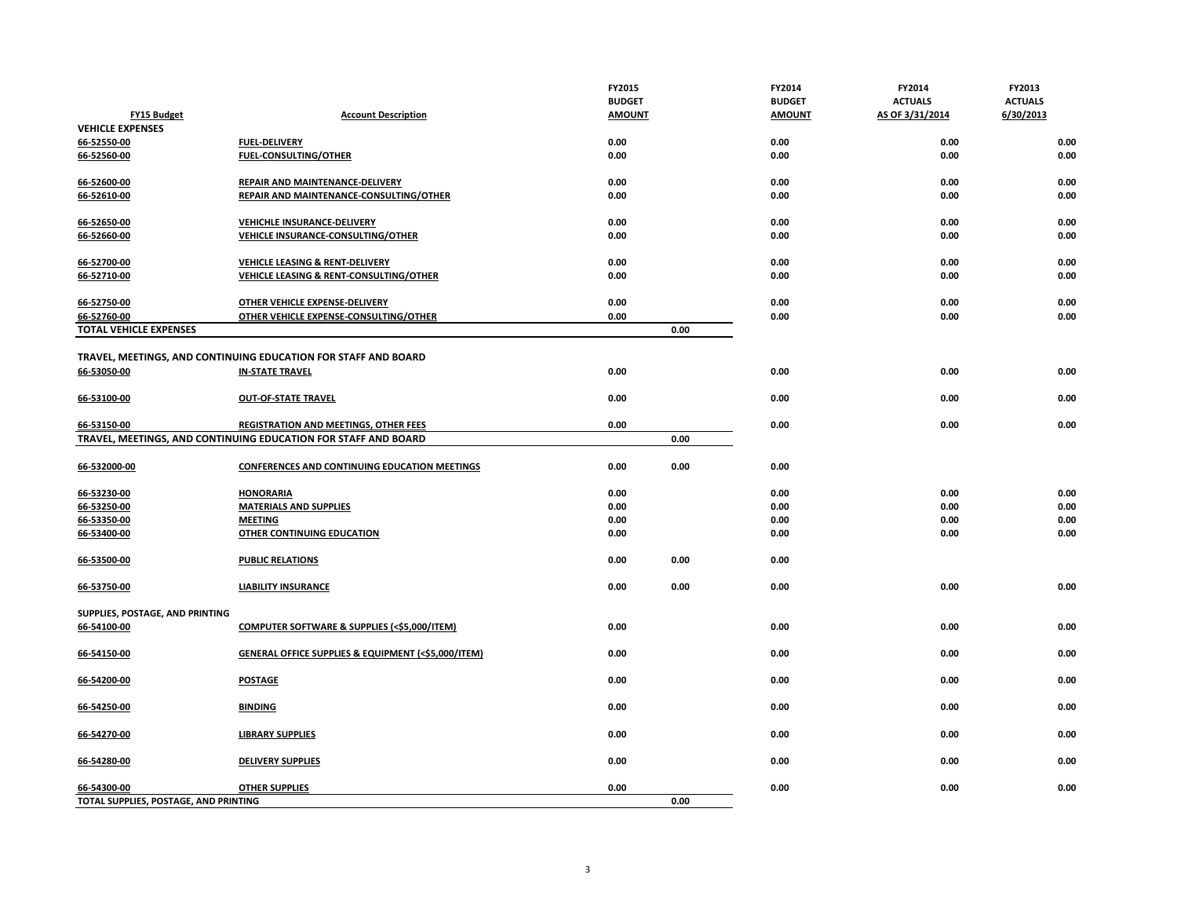|                                       |                                                                | FY2015        |      | FY2014        | FY2014          | FY2013         |
|---------------------------------------|----------------------------------------------------------------|---------------|------|---------------|-----------------|----------------|
|                                       |                                                                | <b>BUDGET</b> |      | <b>BUDGET</b> | <b>ACTUALS</b>  | <b>ACTUALS</b> |
| <b>FY15 Budget</b>                    | <b>Account Description</b>                                     | <b>AMOUNT</b> |      | <b>AMOUNT</b> | AS OF 3/31/2014 | 6/30/2013      |
| <b>VEHICLE EXPENSES</b>               |                                                                |               |      |               |                 |                |
| 66-52550-00                           | <b>FUEL-DELIVERY</b>                                           | 0.00          |      | 0.00          | 0.00            | 0.00           |
| 66-52560-00                           | <b>FUEL-CONSULTING/OTHER</b>                                   | 0.00          |      | 0.00          | 0.00            | 0.00           |
| 66-52600-00                           | REPAIR AND MAINTENANCE-DELIVERY                                | 0.00          |      | 0.00          | 0.00            | 0.00           |
| 66-52610-00                           | REPAIR AND MAINTENANCE-CONSULTING/OTHER                        | 0.00          |      | 0.00          | 0.00            | 0.00           |
| 66-52650-00                           | VEHICHLE INSURANCE-DELIVERY                                    | 0.00          |      | 0.00          | 0.00            | 0.00           |
| 66-52660-00                           | <b>VEHICLE INSURANCE-CONSULTING/OTHER</b>                      | 0.00          |      | 0.00          | 0.00            | 0.00           |
| 66-52700-00                           | VEHICLE LEASING & RENT-DELIVERY                                | 0.00          |      | 0.00          | 0.00            | 0.00           |
| 66-52710-00                           | VEHICLE LEASING & RENT-CONSULTING/OTHER                        | 0.00          |      | 0.00          | 0.00            | 0.00           |
| 66-52750-00                           | OTHER VEHICLE EXPENSE-DELIVERY                                 | 0.00          |      | 0.00          | 0.00            | 0.00           |
| 66-52760-00                           | OTHER VEHICLE EXPENSE-CONSULTING/OTHER                         | 0.00          |      | 0.00          | 0.00            | 0.00           |
| <b>TOTAL VEHICLE EXPENSES</b>         |                                                                |               | 0.00 |               |                 |                |
|                                       | TRAVEL, MEETINGS, AND CONTINUING EDUCATION FOR STAFF AND BOARD |               |      |               |                 |                |
| 66-53050-00                           | <b>IN-STATE TRAVEL</b>                                         | 0.00          |      | 0.00          | 0.00            | 0.00           |
| 66-53100-00                           | <b>OUT-OF-STATE TRAVEL</b>                                     | 0.00          |      | 0.00          | 0.00            | 0.00           |
| 66-53150-00                           | <b>REGISTRATION AND MEETINGS, OTHER FEES</b>                   | 0.00          |      | 0.00          | 0.00            | 0.00           |
|                                       | TRAVEL, MEETINGS, AND CONTINUING EDUCATION FOR STAFF AND BOARD |               | 0.00 |               |                 |                |
|                                       |                                                                |               |      |               |                 |                |
| 66-532000-00                          | CONFERENCES AND CONTINUING EDUCATION MEETINGS                  | 0.00          | 0.00 | 0.00          |                 |                |
| 66-53230-00                           | <b>HONORARIA</b>                                               | 0.00          |      | 0.00          | 0.00            | 0.00           |
| 66-53250-00                           | <b>MATERIALS AND SUPPLIES</b>                                  | 0.00          |      | 0.00          | 0.00            | 0.00           |
| 66-53350-00                           | <b>MEETING</b>                                                 | 0.00          |      | 0.00          | 0.00            | 0.00           |
| 66-53400-00                           | OTHER CONTINUING EDUCATION                                     | 0.00          |      | 0.00          | 0.00            | 0.00           |
| 66-53500-00                           | <b>PUBLIC RELATIONS</b>                                        | 0.00          | 0.00 | 0.00          |                 |                |
| 66-53750-00                           | <b>LIABILITY INSURANCE</b>                                     | 0.00          | 0.00 | 0.00          | 0.00            | 0.00           |
| SUPPLIES, POSTAGE, AND PRINTING       |                                                                |               |      |               |                 |                |
| 66-54100-00                           | <b>COMPUTER SOFTWARE &amp; SUPPLIES (&lt;\$5,000/ITEM)</b>     | 0.00          |      | 0.00          | 0.00            | 0.00           |
| 66-54150-00                           | GENERAL OFFICE SUPPLIES & EQUIPMENT (<\$5,000/ITEM)            | 0.00          |      | 0.00          | 0.00            | 0.00           |
| 66-54200-00                           | <b>POSTAGE</b>                                                 | 0.00          |      | 0.00          | 0.00            | 0.00           |
| 66-54250-00                           | <b>BINDING</b>                                                 | 0.00          |      | 0.00          | 0.00            | 0.00           |
| 66-54270-00                           | <b>LIBRARY SUPPLIES</b>                                        | 0.00          |      | 0.00          | 0.00            | 0.00           |
| 66-54280-00                           | <b>DELIVERY SUPPLIES</b>                                       | 0.00          |      | 0.00          | 0.00            | 0.00           |
| 66-54300-00                           | <b>OTHER SUPPLIES</b>                                          | 0.00          |      | 0.00          | 0.00            | 0.00           |
| TOTAL SUPPLIES, POSTAGE, AND PRINTING |                                                                |               | 0.00 |               |                 |                |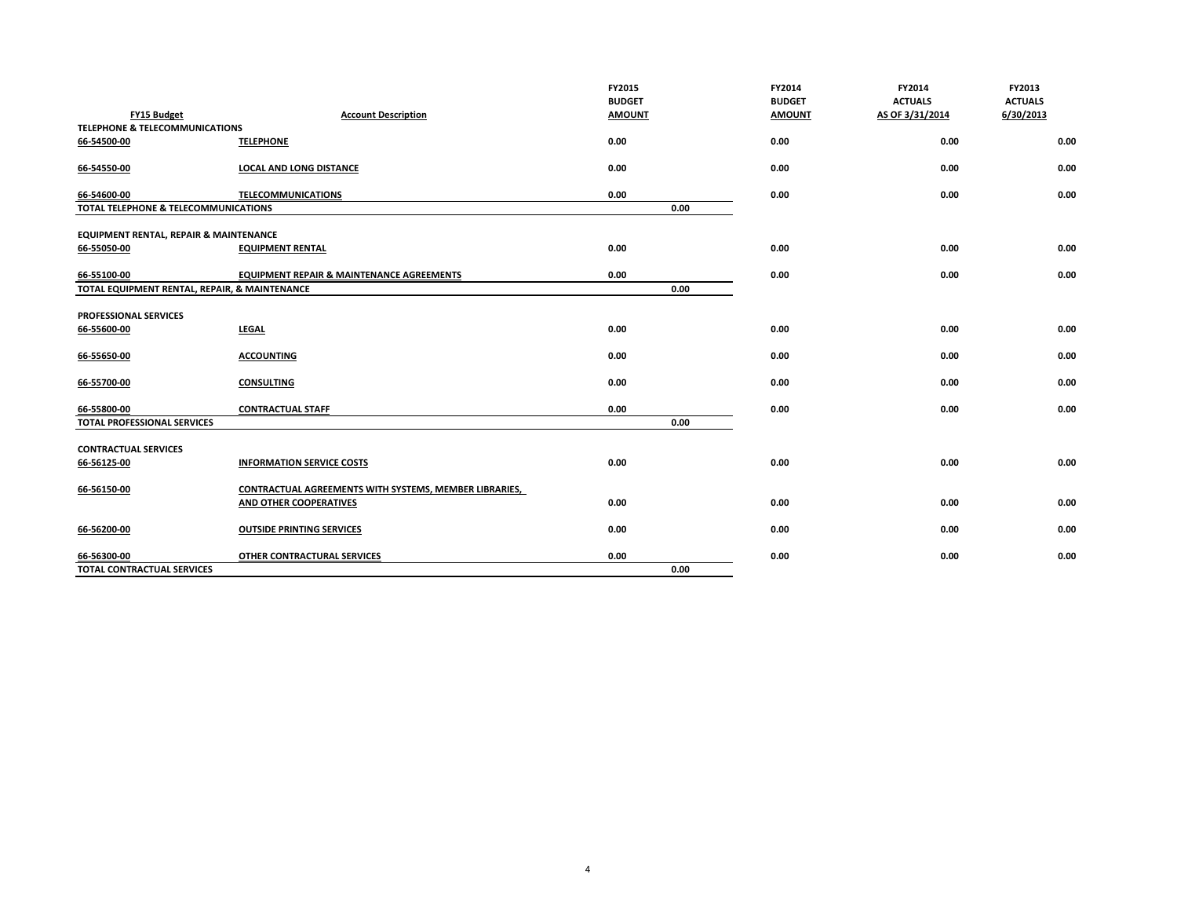|                                               |                                                        | FY2015<br><b>BUDGET</b> |      | FY2014<br><b>BUDGET</b> | FY2014<br><b>ACTUALS</b> | FY2013<br><b>ACTUALS</b> |
|-----------------------------------------------|--------------------------------------------------------|-------------------------|------|-------------------------|--------------------------|--------------------------|
| FY15 Budget                                   | <b>Account Description</b>                             | <b>AMOUNT</b>           |      | <b>AMOUNT</b>           | AS OF 3/31/2014          | 6/30/2013                |
| <b>TELEPHONE &amp; TELECOMMUNICATIONS</b>     |                                                        |                         |      |                         |                          |                          |
| 66-54500-00                                   | <b>TELEPHONE</b>                                       | 0.00                    |      | 0.00                    | 0.00                     | 0.00                     |
| 66-54550-00                                   | <b>LOCAL AND LONG DISTANCE</b>                         | 0.00                    |      | 0.00                    | 0.00                     | 0.00                     |
| 66-54600-00                                   | <b>TELECOMMUNICATIONS</b>                              | 0.00                    |      | 0.00                    | 0.00                     | 0.00                     |
| TOTAL TELEPHONE & TELECOMMUNICATIONS          |                                                        |                         | 0.00 |                         |                          |                          |
| EQUIPMENT RENTAL, REPAIR & MAINTENANCE        |                                                        |                         |      |                         |                          |                          |
| 66-55050-00                                   | <b>EQUIPMENT RENTAL</b>                                | 0.00                    |      | 0.00                    | 0.00                     | 0.00                     |
| 66-55100-00                                   | <b>EQUIPMENT REPAIR &amp; MAINTENANCE AGREEMENTS</b>   | 0.00                    |      | 0.00                    | 0.00                     | 0.00                     |
| TOTAL EQUIPMENT RENTAL, REPAIR, & MAINTENANCE |                                                        |                         | 0.00 |                         |                          |                          |
|                                               |                                                        |                         |      |                         |                          |                          |
| PROFESSIONAL SERVICES<br>66-55600-00          | <b>LEGAL</b>                                           | 0.00                    |      | 0.00                    | 0.00                     | 0.00                     |
|                                               |                                                        |                         |      |                         |                          |                          |
| 66-55650-00                                   | <b>ACCOUNTING</b>                                      | 0.00                    |      | 0.00                    | 0.00                     | 0.00                     |
| 66-55700-00                                   | <b>CONSULTING</b>                                      | 0.00                    |      | 0.00                    | 0.00                     | 0.00                     |
| 66-55800-00                                   | <b>CONTRACTUAL STAFF</b>                               | 0.00                    |      | 0.00                    | 0.00                     | 0.00                     |
| <b>TOTAL PROFESSIONAL SERVICES</b>            |                                                        |                         | 0.00 |                         |                          |                          |
| <b>CONTRACTUAL SERVICES</b>                   |                                                        |                         |      |                         |                          |                          |
| 66-56125-00                                   | <b>INFORMATION SERVICE COSTS</b>                       | 0.00                    |      | 0.00                    | 0.00                     | 0.00                     |
| 66-56150-00                                   | CONTRACTUAL AGREEMENTS WITH SYSTEMS, MEMBER LIBRARIES, |                         |      |                         |                          |                          |
|                                               | AND OTHER COOPERATIVES                                 | 0.00                    |      | 0.00                    | 0.00                     | 0.00                     |
| 66-56200-00                                   | <b>OUTSIDE PRINTING SERVICES</b>                       | 0.00                    |      | 0.00                    | 0.00                     | 0.00                     |
| 66-56300-00                                   | <b>OTHER CONTRACTURAL SERVICES</b>                     | 0.00                    |      | 0.00                    | 0.00                     | 0.00                     |
| <b>TOTAL CONTRACTUAL SERVICES</b>             |                                                        |                         | 0.00 |                         |                          |                          |